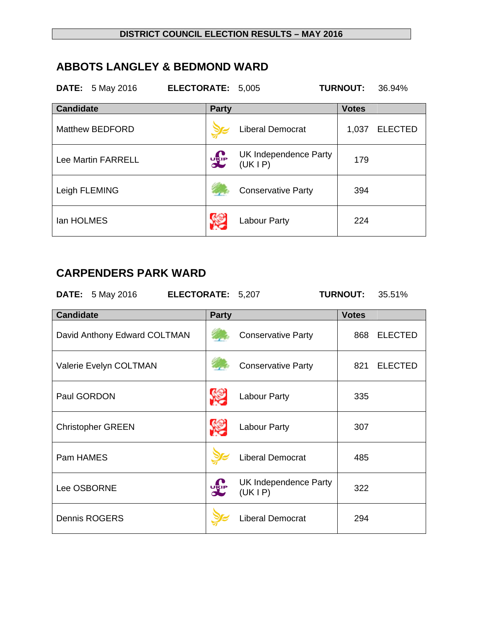## **ABBOTS LANGLEY & BEDMOND WARD**

|                  | <b>DATE:</b> 5 May 2016   | <b>ELECTORATE:</b> | 5,005                           | <b>TURNOUT:</b> | 36.94%         |
|------------------|---------------------------|--------------------|---------------------------------|-----------------|----------------|
| <b>Candidate</b> |                           | <b>Party</b>       |                                 | <b>Votes</b>    |                |
|                  | <b>Matthew BEDFORD</b>    |                    | <b>Liberal Democrat</b>         | 1,037           | <b>ELECTED</b> |
|                  | <b>Lee Martin FARRELL</b> | <b>DELP</b>        | UK Independence Party<br>(UKIP) | 179             |                |
|                  | Leigh FLEMING             |                    | <b>Conservative Party</b>       | 394             |                |
| lan HOLMES       |                           |                    | <b>Labour Party</b>             | 224             |                |

# **CARPENDERS PARK WARD**

| <b>DATE:</b> 5 May 2016      | ELECTORATE: 5,207 |                                 | <b>TURNOUT:</b> | 35.51%         |
|------------------------------|-------------------|---------------------------------|-----------------|----------------|
| <b>Candidate</b>             | <b>Party</b>      |                                 | <b>Votes</b>    |                |
| David Anthony Edward COLTMAN |                   | <b>Conservative Party</b>       | 868             | <b>ELECTED</b> |
| Valerie Evelyn COLTMAN       |                   | <b>Conservative Party</b>       |                 | 821 ELECTED    |
| Paul GORDON                  |                   | Labour Party                    | 335             |                |
| <b>Christopher GREEN</b>     |                   | Labour Party                    | 307             |                |
| Pam HAMES                    |                   | <b>Liberal Democrat</b>         | 485             |                |
| Lee OSBORNE                  | <b>DELP</b>       | UK Independence Party<br>(UKIP) | 322             |                |
| <b>Dennis ROGERS</b>         |                   | <b>Liberal Democrat</b>         | 294             |                |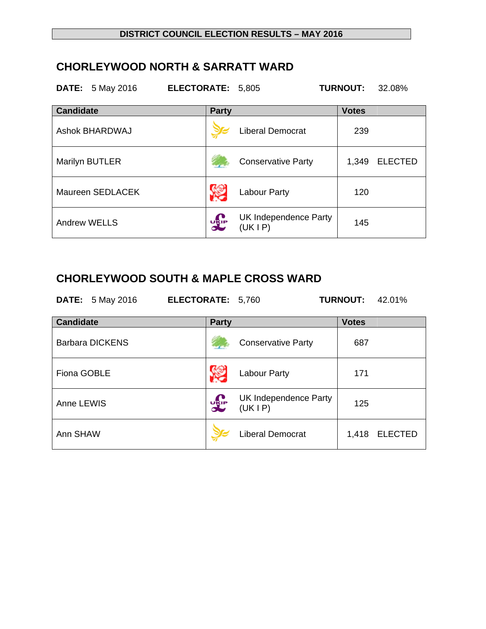## **CHORLEYWOOD NORTH & SARRATT WARD**

|                     | <b>DATE:</b> 5 May 2016 | ELECTORATE: 5,805               |                                 | <b>TURNOUT:</b> | 32.08%         |
|---------------------|-------------------------|---------------------------------|---------------------------------|-----------------|----------------|
| <b>Candidate</b>    |                         | <b>Party</b>                    |                                 | <b>Votes</b>    |                |
|                     | <b>Ashok BHARDWAJ</b>   |                                 | <b>Liberal Democrat</b>         | 239             |                |
|                     | Marilyn BUTLER          |                                 | <b>Conservative Party</b>       | 1,349           | <b>ELECTED</b> |
|                     | Maureen SEDLACEK        |                                 | Labour Party                    | 120             |                |
| <b>Andrew WELLS</b> |                         | $\mathbf{u}_{\text{SIP}}$<br>JU | UK Independence Party<br>(UKIP) | 145             |                |

# **CHORLEYWOOD SOUTH & MAPLE CROSS WARD**

| <b>DATE:</b> 5 May 2016 | <b>ELECTORATE: 5,760</b> | <b>TURNOUT: 42.01%</b> |  |
|-------------------------|--------------------------|------------------------|--|
|                         |                          |                        |  |

| <b>Candidate</b>       | <b>Party</b> |                                 | <b>Votes</b> |                |
|------------------------|--------------|---------------------------------|--------------|----------------|
| <b>Barbara DICKENS</b> |              | <b>Conservative Party</b>       | 687          |                |
| Fiona GOBLE            |              | Labour Party                    | 171          |                |
| Anne LEWIS             | <b>DIELE</b> | UK Independence Party<br>(UKIP) | 125          |                |
| Ann SHAW               |              | <b>Liberal Democrat</b>         | 1,418        | <b>ELECTED</b> |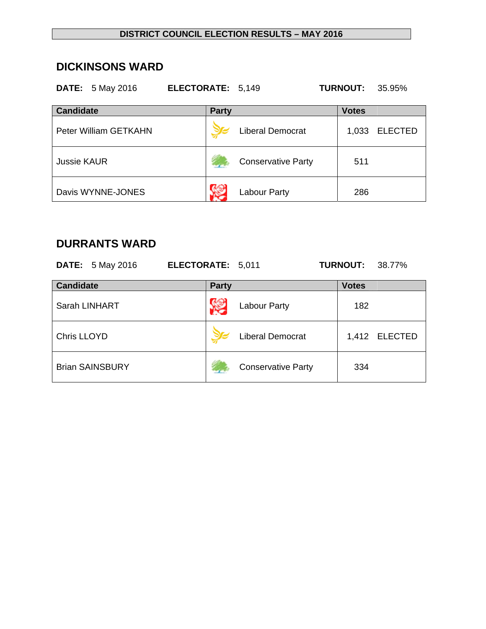#### **DISTRICT COUNCIL ELECTION RESULTS – MAY 2016**

#### **DICKINSONS WARD**

| <b>DATE:</b> 5 May 2016 | ELECTORATE: 5,149 |                           | <b>TURNOUT:</b><br>35.95% |
|-------------------------|-------------------|---------------------------|---------------------------|
| <b>Candidate</b>        | <b>Party</b>      |                           | <b>Votes</b>              |
| Peter William GETKAHN   |                   | Liberal Democrat          | 1,033<br><b>ELECTED</b>   |
| <b>Jussie KAUR</b>      |                   | <b>Conservative Party</b> | 511                       |
| Davis WYNNE-JONES       |                   | Labour Party              | 286                       |

## **DURRANTS WARD**

|                    | <b>DATE:</b> 5 May 2016 | ELECTORATE: 5,011 |                           | <b>TURNOUT:</b> | 38.77%         |
|--------------------|-------------------------|-------------------|---------------------------|-----------------|----------------|
| <b>Candidate</b>   |                         | <b>Party</b>      |                           | <b>Votes</b>    |                |
|                    | Sarah LINHART           |                   | <b>Labour Party</b>       | 182             |                |
| <b>Chris LLOYD</b> |                         |                   | <b>Liberal Democrat</b>   | 1,412           | <b>ELECTED</b> |
|                    | <b>Brian SAINSBURY</b>  |                   | <b>Conservative Party</b> | 334             |                |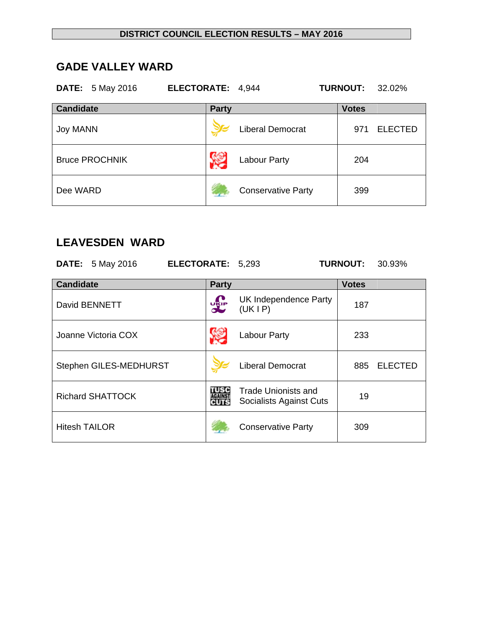### **GADE VALLEY WARD**

| <b>DATE:</b> 5 May 2016 | ELECTORATE: 4,944 |                           | <b>TURNOUT:</b><br>32.02% |
|-------------------------|-------------------|---------------------------|---------------------------|
| <b>Candidate</b>        | <b>Party</b>      |                           | <b>Votes</b>              |
| <b>Joy MANN</b>         |                   | <b>Liberal Democrat</b>   | <b>ELECTED</b><br>971     |
| <b>Bruce PROCHNIK</b>   |                   | <b>Labour Party</b>       | 204                       |
| Dee WARD                |                   | <b>Conservative Party</b> | 399                       |

#### **LEAVESDEN WARD**

**DATE:** 5 May 2016 **ELECTORATE:** 5,293 **TURNOUT:** 30.93%

| <b>Candidate</b>        | <b>Party</b> |                                                       | <b>Votes</b> |                |
|-------------------------|--------------|-------------------------------------------------------|--------------|----------------|
| David BENNETT           | <b>DELP</b>  | UK Independence Party<br>(UKIP)                       | 187          |                |
| Joanne Victoria COX     |              | Labour Party                                          | 233          |                |
| Stephen GILES-MEDHURST  |              | <b>Liberal Democrat</b>                               | 885          | <b>ELECTED</b> |
| <b>Richard SHATTOCK</b> | TUSC<br>CUTS | <b>Trade Unionists and</b><br>Socialists Against Cuts | 19           |                |
| <b>Hitesh TAILOR</b>    |              | <b>Conservative Party</b>                             | 309          |                |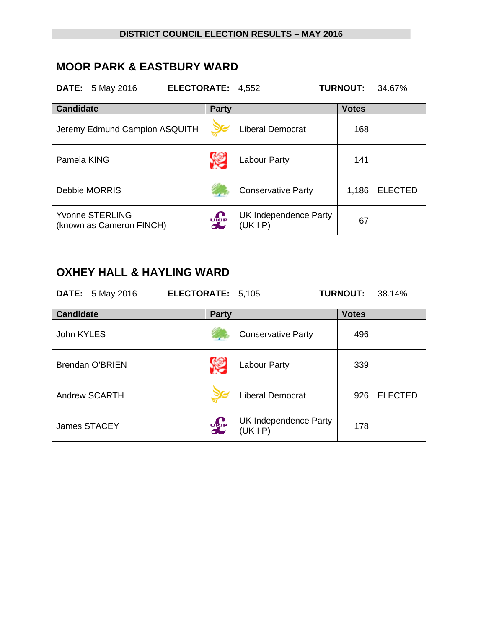#### **DISTRICT COUNCIL ELECTION RESULTS – MAY 2016**

### **MOOR PARK & EASTBURY WARD**

**DATE:** 5 May 2016 **ELECTORATE:** 4,552 **TURNOUT:** 34.67%

| <b>Candidate</b>                                   | <b>Party</b>         |                                   | <b>Votes</b> |                |
|----------------------------------------------------|----------------------|-----------------------------------|--------------|----------------|
| Jeremy Edmund Campion ASQUITH                      |                      | Liberal Democrat                  | 168          |                |
| Pamela KING                                        |                      | Labour Party                      | 141          |                |
| <b>Debbie MORRIS</b>                               |                      | <b>Conservative Party</b>         | 1,186        | <b>ELECTED</b> |
| <b>Yvonne STERLING</b><br>(known as Cameron FINCH) | $\frac{1}{\sqrt{K}}$ | UK Independence Party<br>(UK I P) | 67           |                |

# **OXHEY HALL & HAYLING WARD**

|                  | <b>DATE:</b> 5 May 2016 | ELECTORATE: 5,105 |              |                                 | <b>TURNOUT:</b> | - 38.14%       |
|------------------|-------------------------|-------------------|--------------|---------------------------------|-----------------|----------------|
| <b>Candidate</b> |                         |                   | <b>Party</b> |                                 | <b>Votes</b>    |                |
| John KYLES       |                         |                   |              | <b>Conservative Party</b>       | 496             |                |
|                  | <b>Brendan O'BRIEN</b>  |                   |              | Labour Party                    | 339             |                |
|                  | <b>Andrew SCARTH</b>    |                   |              | <b>Liberal Democrat</b>         | 926             | <b>ELECTED</b> |
|                  | James STACEY            |                   | <b>UKIP</b>  | UK Independence Party<br>(UKIP) | 178             |                |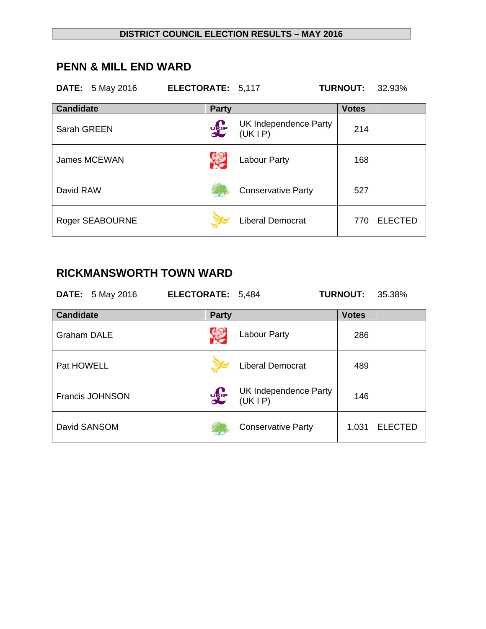### **PENN & MILL END WARD**

| <b>DATE:</b> 5 May 2016 | ELECTORATE: 5,117 |                                   | <b>TURNOUT:</b><br>32.93% |
|-------------------------|-------------------|-----------------------------------|---------------------------|
| <b>Candidate</b>        | <b>Party</b>      |                                   | <b>Votes</b>              |
| Sarah GREEN             | <b>UKIP</b>       | UK Independence Party<br>(UK I P) | 214                       |
| James MCEWAN            |                   | Labour Party                      | 168                       |
| David RAW               |                   | <b>Conservative Party</b>         | 527                       |
| Roger SEABOURNE         |                   | <b>Liberal Democrat</b>           | <b>ELECTED</b><br>770     |

## **RICKMANSWORTH TOWN WARD**

|                                  | <b>DATE:</b> 5 May 2016 | ELECTORATE: 5,484 |             |                                   | <b>TURNOUT:</b> | 35.38%         |
|----------------------------------|-------------------------|-------------------|-------------|-----------------------------------|-----------------|----------------|
| <b>Candidate</b><br><b>Party</b> |                         |                   |             |                                   | <b>Votes</b>    |                |
| <b>Graham DALE</b>               |                         |                   |             | Labour Party                      | 286             |                |
| Pat HOWELL                       |                         |                   |             | <b>Liberal Democrat</b>           | 489             |                |
|                                  | <b>Francis JOHNSON</b>  |                   | <b>UKIP</b> | UK Independence Party<br>(UK I P) | 146             |                |
|                                  | David SANSOM            |                   |             | <b>Conservative Party</b>         | 1,031           | <b>ELECTED</b> |